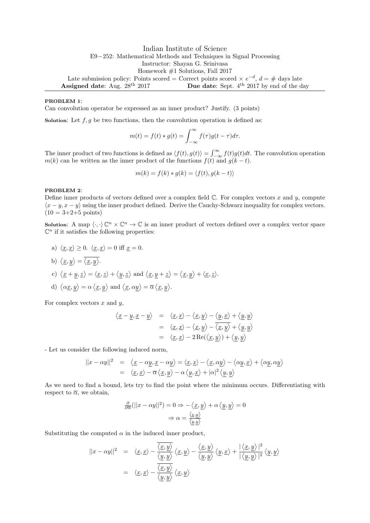Indian Institute of Science E9−252: Mathematical Methods and Techniques in Signal Processing Instructor: Shayan G. Srinivasa Homework #1 Solutions, Fall 2017 Late submission policy: Points scored = Correct points scored  $\times e^{-d}$ ,  $d = \#$  days late Assigned date: Aug.  $28^{th}$  2017 Due date: Sept.  $4^{th}$  2017 by end of the day

### PROBLEM 1:

Can convolution operator be expressed as an inner product? Justify. (3 points)

Solution: Let  $f, g$  be two functions, then the convolution operation is defined as:

$$
m(t) = f(t) * g(t) = \int_{-\infty}^{\infty} f(\tau)g(t - \tau)d\tau.
$$

The inner product of two functions is defined as  $\langle f(t), g(t) \rangle = \int_{-\infty}^{\infty} f(t)g(t)dt$ . The convolution operation m(k) can be written as the inner product of the functions  $f(t)$  and  $g(k-t)$ .

$$
m(k) = f(k) * g(k) = \langle f(t), g(k-t) \rangle
$$

#### PROBLEM 2:

Define inner products of vectors defined over a complex field  $\mathbb{C}$ . For complex vectors x and y, compute  $\langle x - y, x - y \rangle$  using the inner product defined. Derive the Cauchy-Schwarz inequality for complex vectors.  $(10 = 3 + 2 + 5 \text{ points})$ 

**Solution:** A map  $\langle \cdot, \cdot \rangle \mathbb{C}^n \times \mathbb{C}^n \to \mathbb{C}$  is an inner product of vectors defined over a complex vector space  $\mathbb{C}^n$  if it satisfies the following properties:

a)  $\langle \underline{x}, \underline{x} \rangle \geq 0$ .  $\langle \underline{x}, \underline{x} \rangle = 0$  iff  $\underline{x} = 0$ . b)  $\langle \underline{x}, y \rangle = \langle \underline{x}, y \rangle$ . c)  $\langle \underline{x} + y, \underline{z} \rangle = \langle \underline{x}, \underline{z} \rangle + \langle y, \underline{z} \rangle$  and  $\langle \underline{x}, y + \underline{z} \rangle = \langle \underline{x}, y \rangle + \langle \underline{x}, \underline{z} \rangle$ .

d) 
$$
\langle \alpha \underline{x}, \underline{y} \rangle = \alpha \langle \underline{x}, \underline{y} \rangle
$$
 and  $\langle \underline{x}, \alpha \underline{y} \rangle = \overline{\alpha} \langle \underline{x}, \underline{y} \rangle$ .

For complex vectors  $x$  and  $y$ ,

$$
\langle \underline{x} - \underline{y}, \underline{x} - \underline{y} \rangle = \langle \underline{x}, \underline{x} \rangle - \langle \underline{x}, \underline{y} \rangle - \langle \underline{y}, \underline{x} \rangle + \langle \underline{y}, \underline{y} \rangle
$$
  

$$
= \langle \underline{x}, \underline{x} \rangle - \langle \underline{x}, \underline{y} \rangle - \overline{\langle \underline{x}, \underline{y} \rangle} + \langle \underline{y}, \underline{y} \rangle
$$
  

$$
= \langle \underline{x}, \underline{x} \rangle - 2 \operatorname{Re}(\langle \underline{x}, \underline{y} \rangle) + \langle \underline{y}, \underline{y} \rangle
$$

- Let us consider the following induced norm,

$$
||x - \alpha y||^2 = \langle \underline{x} - \alpha \underline{y}, \underline{x} - \alpha \underline{y} \rangle = \langle \underline{x}, \underline{x} \rangle - \langle \underline{x}, \alpha \underline{y} \rangle - \langle \alpha \underline{y}, \underline{x} \rangle + \langle \alpha \underline{y}, \alpha \underline{y} \rangle
$$
  
=  $\langle \underline{x}, \underline{x} \rangle - \overline{\alpha} \langle \underline{x}, \underline{y} \rangle - \alpha \langle \underline{y}, \underline{x} \rangle + |\alpha|^2 \langle \underline{y}, \underline{y} \rangle$ 

As we need to find a bound, lets try to find the point where the minimum occurs. Differentiating with respect to  $\overline{\alpha}$ , we obtain,

$$
\frac{\partial}{\partial \overline{\alpha}}(||x - \alpha y||^2) = 0 \Rightarrow -\langle \underline{x}, \underline{y} \rangle + \alpha \langle \underline{y}, \underline{y} \rangle = 0
$$

$$
\Rightarrow \alpha = \frac{\langle \underline{x}, \underline{y} \rangle}{\langle \underline{y}, \underline{y} \rangle}
$$

Substituting the computed  $\alpha$  in the induced inner product,

$$
||x - \alpha y||^2 = \langle \underline{x}, \underline{x} \rangle - \frac{\langle \underline{x}, \underline{y} \rangle}{\langle \underline{y}, \underline{y} \rangle} \langle \underline{x}, \underline{y} \rangle - \frac{\langle \underline{x}, \underline{y} \rangle}{\langle \underline{y}, \underline{y} \rangle} \langle \underline{y}, \underline{x} \rangle + \frac{|\langle \underline{x}, \underline{y} \rangle|^2}{|\langle \underline{y}, \underline{y} \rangle|^2} \langle \underline{y}, \underline{y} \rangle
$$
  
=  $\langle \underline{x}, \underline{x} \rangle - \frac{\langle \underline{x}, \underline{y} \rangle}{\langle \underline{y}, \underline{y} \rangle} \langle \underline{x}, \underline{y} \rangle$